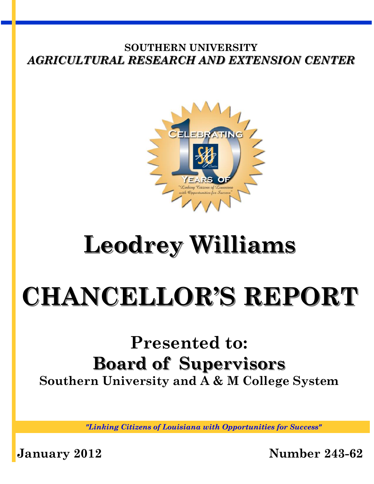## **SOUTHERN UNIVERSITY**  *AGRICULTURAL RESEARCH AND EXTENSION CENTER*



## **Leodrey Williams**

# **CHANCELLOR'S REPORT**

## **Presented to: Board of Supervisors Southern University and A & M College System**

*"Linking Citizens of Louisiana with Opportunities for Success"*

**January 2012 Number 243-62**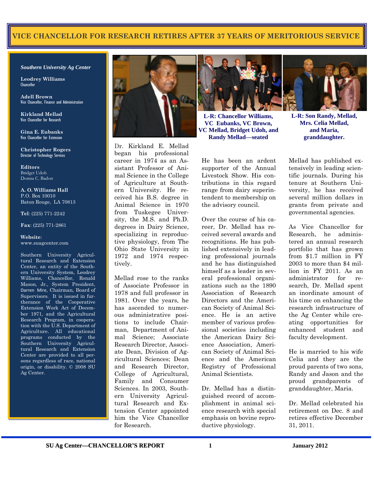### **VICE CHANCELLOR FOR RESEARCH RETIRES AFTER 37 YEARS OF MERITORIOUS SERVICE**

#### *Southern University Ag Center*

**Leodrey Williams Chancellor** 

**Adell Brown** Vice Chancellor, Finance and Administration

**Kirkland Mellad**  Vice Chancellor for Research

**Gina E. Eubanks**  Vice Chancellor for Extension

**Christopher Rogers** Director of Technology Services

**Editors**  Bridget Udoh Donna C. Badon

**A. O. Williams Hall**  P.O. Box 10010 Baton Rouge, LA 70813

**Tel**: (225) 771-2242

**Fax**: (225) 771-2861

#### **Website**: www.suagcenter.com

Southern University Agricultural Research and Extension Center, an entity of the Southern University System, Leodrey Williams, Chancellor, Ronald Mason, Jr., System President, Darren Mire, Chairman, Board of Supervisors. It is issued in furtherance of the Cooperative Extension Work Act of December 1971, and the Agricultural Research Program, in cooperation with the U.S. Department of Agriculture. All educational programs conducted by the Southern University Agricultural Research and Extension Center are provided to all persons regardless of race, national origin, or disability. © 2008 SU Ag Center.



Dr. Kirkland E. Mellad began his professional career in 1974 as an Assistant Professor of Animal Science in the College of Agriculture at Southern University. He received his B.S. degree in Animal Science in 1970 from Tuskegee University, the M.S. and Ph.D. degrees in Dairy Science, specializing in reproductive physiology, from The Ohio State University in 1972 and 1974 respectively.

Mellad rose to the ranks of Associate Professor in 1978 and full professor in 1981. Over the years, he has ascended to numerous administrative positions to include Chairman, Department of Animal Science; Associate Research Director, Associate Dean, Division of Agricultural Sciences; Dean and Research Director, College of Agricultural, Family and Consumer Sciences. In 2003, Southern University Agricultural Research and Extension Center appointed him the Vice Chancellor for Research.



**L-R: Chancellor Williams, VC Eubanks, VC Brown, VC Mellad, Bridget Udoh, and Randy Mellad—seated** 

He has been an ardent supporter of the Annual Livestock Show. His contributions in this regard range from dairy superintendent to membership on the advisory council.

Over the course of his career, Dr. Mellad has received several awards and recognitions. He has published extensively in leading professional journals and he has distinguished himself as a leader in several professional organizations such as the 1890 Association of Research Directors and the American Society of Animal Science. He is an active member of various professional societies including the American Dairy Science Association, American Society of Animal Science and the American Registry of Professional Animal Scientists.

Dr. Mellad has a distinguished record of accomplishment in animal science research with special emphasis on bovine reproductive physiology.



**L-R: Son Randy, Mellad, Mrs. Celia Mellad, and Maria, granddaughter.** 

Mellad has published extensively in leading scientific journals. During his tenure at Southern University, he has received several million dollars in grants from private and governmental agencies.

As Vice Chancellor for Research, he administered an annual research portfolio that has grown from \$1.7 million in FY 2003 to more than \$4 million in FY 2011. As an administrator for research, Dr. Mellad spent an inordinate amount of his time on enhancing the research infrastructure of the Ag Center while creating opportunities for enhanced student and faculty development.

He is married to his wife Celia and they are the proud parents of two sons, Randy and Jason and the proud grandparents of granddaughter, Maria.

Dr. Mellad celebrated his retirement on Dec. 8 and retires effective December 31, 2011.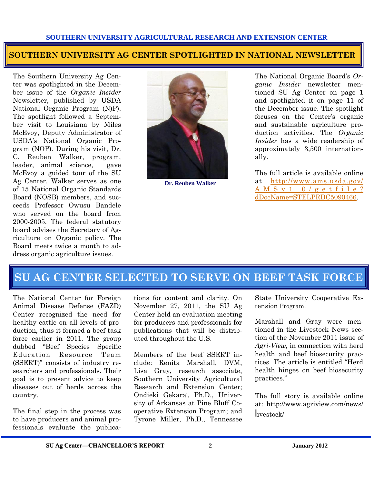## **SOUTHERN UNIVERSITY AG CENTER SPOTLIGHTED IN NATIONAL NEWSLETTER**

The Southern University Ag Center was spotlighted in the December issue of the *Organic Insider* Newsletter, published by USDA National Organic Program (N)P). The spotlight followed a September visit to Louisiana by Miles McEvoy, Deputy Administrator of USDA's National Organic Program (NOP). During his visit, Dr. C. Reuben Walker, program, leader, animal science, gave McEvoy a guided tour of the SU Ag Center. Walker serves as one of 15 National Organic Standards Board (NOSB) members, and succeeds Professor Owusu Bandele who served on the board from 2000-2005. The federal statutory board advises the Secretary of Agriculture on Organic policy. The Board meets twice a month to address organic agriculture issues.



**Dr. Reuben Walker** 

The National Organic Board's *Organic Insider* newsletter mentioned SU Ag Center on page 1 and spotlighted it on page 11 of the December issue. The spotlight focuses on the Center's organic and sustainable agriculture production activities. The *Organic Insider* has a wide readership of approximately 3,500 internationally.

The full article is available online at [http://www.ams.usda.gov/](http://www.ams.usda.gov/AMSv1.0/getfile?dDocName=STELPRDC5090466) [A M S v 1 . 0 / g e t f i l e ?](http://www.ams.usda.gov/AMSv1.0/getfile?dDocName=STELPRDC5090466) [dDocName=STELPRDC5090466.](http://www.ams.usda.gov/AMSv1.0/getfile?dDocName=STELPRDC5090466)

## **SU AG CENTER SELECTED TO SERVE ON BEEF TASK FORCE**

The National Center for Foreign Animal Disease Defense (FAZD) Center recognized the need for healthy cattle on all levels of production, thus it formed a beef task force earlier in 2011. The group dubbed "Beef Species Specific Education Resource Team (SSERT)" consists of industry researchers and professionals. Their goal is to present advice to keep diseases out of herds across the country.

The final step in the process was to have producers and animal professionals evaluate the publica-

tions for content and clarity. On November 27, 2011, the SU Ag Center held an evaluation meeting for producers and professionals for publications that will be distributed throughout the U.S.

Members of the beef SSERT include: Renita Marshall, DVM, Lisa Gray, research associate, Southern University Agricultural Research and Extension Center; Ondieki Gekara', Ph.D., University of Arkansas at Pine Bluff Cooperative Extension Program; and Tyrone Miller, Ph.D., Tennessee

State University Cooperative Extension Program.

Marshall and Gray were mentioned in the Livestock News section of the November 2011 issue of *Agri-View,* in connection with herd health and beef biosecurity practices. The article is entitled "Herd health hinges on beef biosecurity practices."

The full story is available online at: http://www.agriview.com/news/ livestock/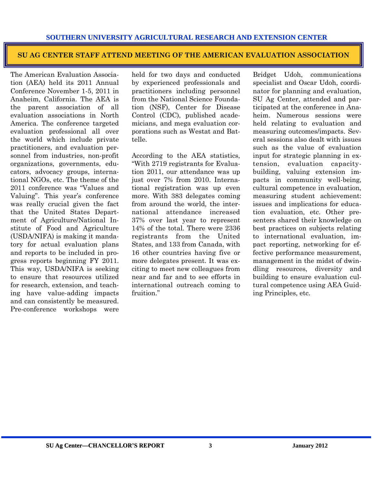#### **SU AG CENTER STAFF ATTEND MEETING OF THE AMERICAN EVALUATION ASSOCIATION**

The American Evaluation Association (AEA) held its 2011 Annual Conference November 1-5, 2011 in Anaheim, California. The AEA is the parent association of all evaluation associations in North America. The conference targeted evaluation professional all over the world which include private practitioners, and evaluation personnel from industries, non-profit organizations, governments, educators, advocacy groups, international NGOs, etc. The theme of the 2011 conference was "Values and Valuing". This year's conference was really crucial given the fact that the United States Department of Agriculture/National Institute of Food and Agriculture (USDA/NIFA) is making it mandatory for actual evaluation plans and reports to be included in progress reports beginning FY 2011. This way, USDA/NIFA is seeking to ensure that resources utilized for research, extension, and teaching have value-adding impacts and can consistently be measured. Pre-conference workshops were

held for two days and conducted by experienced professionals and practitioners including personnel from the National Science Foundation (NSF), Center for Disease Control (CDC), published academicians, and mega evaluation corporations such as Westat and Battelle.

According to the AEA statistics, "With 2719 registrants for Evaluation 2011, our attendance was up just over 7% from 2010. International registration was up even more. With 383 delegates coming from around the world, the international attendance increased 37% over last year to represent 14% of the total. There were 2336 registrants from the United States, and 133 from Canada, with 16 other countries having five or more delegates present. It was exciting to meet new colleagues from near and far and to see efforts in international outreach coming to fruition"

Bridget Udoh, communications specialist and Oscar Udoh, coordinator for planning and evaluation, SU Ag Center, attended and participated at the conference in Anaheim. Numerous sessions were held relating to evaluation and measuring outcomes/impacts. Several sessions also dealt with issues such as the value of evaluation input for strategic planning in extension, evaluation capacitybuilding, valuing extension impacts in community well-being, cultural competence in evaluation, measuring student achievement: issues and implications for education evaluation, etc. Other presenters shared their knowledge on best practices on subjects relating to international evaluation, impact reporting, networking for effective performance measurement, management in the midst of dwindling resources, diversity and building to ensure evaluation cultural competence using AEA Guiding Principles, etc.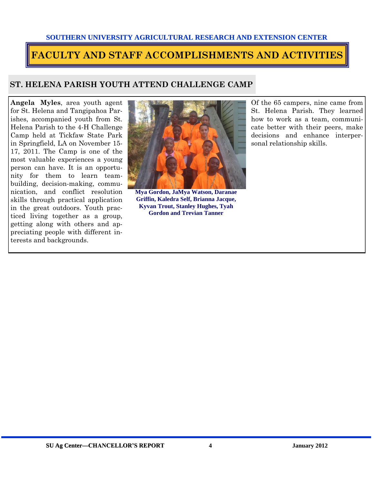#### **SOUTHERN UNIVERSITY AGRICULTURAL RESEARCH AND EXTENSION CENTER**

## **FACULTY AND STAFF ACCOMPLISHMENTS AND ACTIVITIES**

## **ST. HELENA PARISH YOUTH ATTEND CHALLENGE CAMP**

**Angela Myles**, area youth agent for St. Helena and Tangipahoa Parishes, accompanied youth from St. Helena Parish to the 4-H Challenge Camp held at Tickfaw State Park in Springfield, LA on November 15- 17, 2011. The Camp is one of the most valuable experiences a young person can have. It is an opportunity for them to learn teambuilding, decision-making, communication, and conflict resolution skills through practical application in the great outdoors. Youth practiced living together as a group, getting along with others and appreciating people with different interests and backgrounds.



**Mya Gordon, JaMya Watson, Daranae Griffin, Kaledra Self, Brianna Jacque, Kyvan Trout, Stanley Hughes, Tyah Gordon and Trevian Tanner** 

Of the 65 campers, nine came from St. Helena Parish. They learned how to work as a team, communicate better with their peers, make decisions and enhance interpersonal relationship skills.